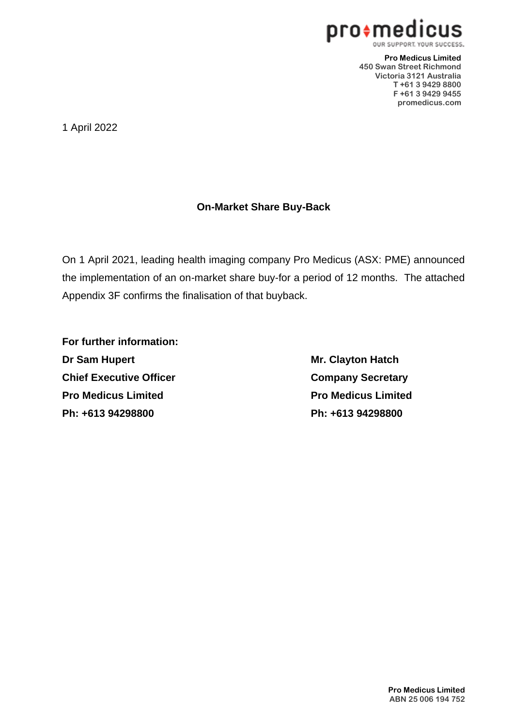

**Pro Medicus Limited 450 Swan Street Richmond Victoria 3121 Australia T +61 3 9429 8800 F +61 3 9429 9455 promedicus.com**

1 April 2022

#### **On-Market Share Buy-Back**

On 1 April 2021, leading health imaging company Pro Medicus (ASX: PME) announced the implementation of an on-market share buy-for a period of 12 months. The attached Appendix 3F confirms the finalisation of that buyback.

**For further information: Dr Sam Hupert Mr. Clayton Hatch Chief Executive Officer <b>Company Secretary Pro Medicus Limited Pro Medicus Limited Ph: +613 94298800 Ph: +613 94298800**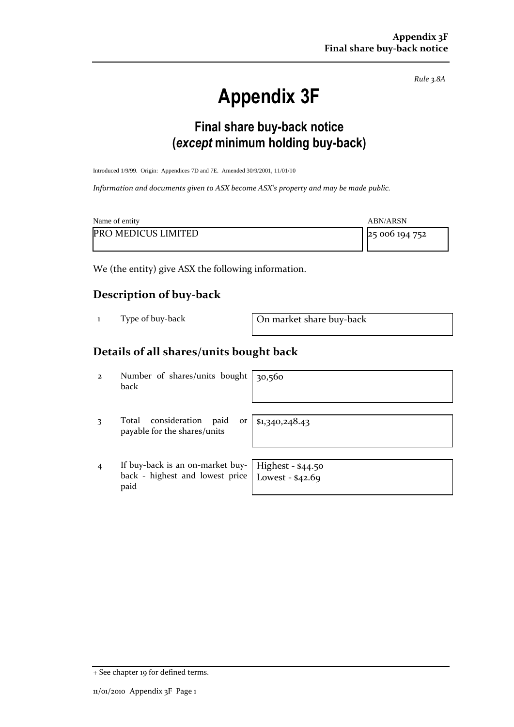*Rule 3.8A*

# **Appendix 3F**

### **Final share buy-back notice (***except* **minimum holding buy-back)**

Introduced 1/9/99. Origin: Appendices 7D and 7E. Amended 30/9/2001, 11/01/10

*Information and documents given to ASX become ASX's property and may be made public.* 

| Name of entity             | <b>ABN/ARSN</b> |
|----------------------------|-----------------|
| <b>PRO MEDICUS LIMITED</b> | 25 006 194 752  |

We (the entity) give ASX the following information.

#### **Description of buy-back**

1 Type of buy-back On market share buy-back

#### **Details of all shares/units bought back**

| $\overline{2}$ | Number of shares/units bought $ 30,560$<br>back                                                                     |                |
|----------------|---------------------------------------------------------------------------------------------------------------------|----------------|
| 3              | consideration<br>Total<br>paid<br><sub>or</sub><br>payable for the shares/units                                     | \$1,340,248.43 |
| $\overline{4}$ | If buy-back is an on-market buy-   Highest - \$44.50<br>back - highest and lowest price   Lowest - $$42.69$<br>paid |                |

<sup>+</sup> See chapter 19 for defined terms.